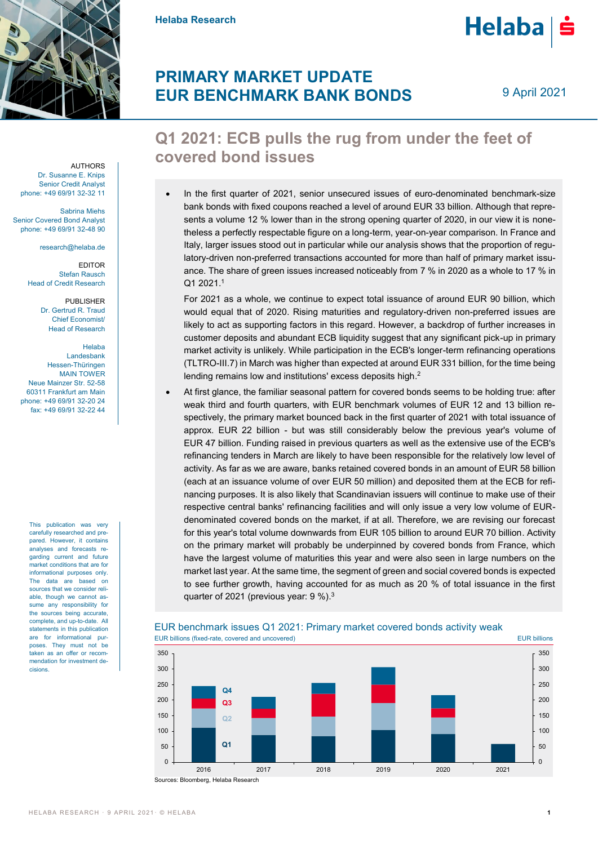

**Helaba Research**

## **PRIMARY MARKET UPDATE EUR BENCHMARK BANK BONDS**

9 April 2021

Helaba | ś

## **Q1 2021: ECB pulls the rug from under the feet of covered bond issues**

 In the first quarter of 2021, senior unsecured issues of euro-denominated benchmark-size bank bonds with fixed coupons reached a level of around EUR 33 billion. Although that represents a volume 12 % lower than in the strong opening quarter of 2020, in our view it is nonetheless a perfectly respectable figure on a long-term, year-on-year comparison. In France and Italy, larger issues stood out in particular while our analysis shows that the proportion of regulatory-driven non-preferred transactions accounted for more than half of primary market issuance. The share of green issues increased noticeably from 7 % in 2020 as a whole to 17 % in Q1 2021. 1

For 2021 as a whole, we continue to expect total issuance of around EUR 90 billion, which would equal that of 2020. Rising maturities and regulatory-driven non-preferred issues are likely to act as supporting factors in this regard. However, a backdrop of further increases in customer deposits and abundant ECB liquidity suggest that any significant pick-up in primary market activity is unlikely. While participation in the ECB's longer-term refinancing operations (TLTRO-III.7) in March was higher than expected at around EUR 331 billion, for the time being lending remains low and institutions' excess deposits high.<sup>2</sup>

 At first glance, the familiar seasonal pattern for covered bonds seems to be holding true: after weak third and fourth quarters, with EUR benchmark volumes of EUR 12 and 13 billion respectively, the primary market bounced back in the first quarter of 2021 with total issuance of approx. EUR 22 billion - but was still considerably below the previous year's volume of EUR 47 billion. Funding raised in previous quarters as well as the extensive use of the ECB's refinancing tenders in March are likely to have been responsible for the relatively low level of activity. As far as we are aware, banks retained covered bonds in an amount of EUR 58 billion (each at an issuance volume of over EUR 50 million) and deposited them at the ECB for refinancing purposes. It is also likely that Scandinavian issuers will continue to make use of their respective central banks' refinancing facilities and will only issue a very low volume of EURdenominated covered bonds on the market, if at all. Therefore, we are revising our forecast for this year's total volume downwards from EUR 105 billion to around EUR 70 billion. Activity on the primary market will probably be underpinned by covered bonds from France, which have the largest volume of maturities this year and were also seen in large numbers on the market last year. At the same time, the segment of green and social covered bonds is expected to see further growth, having accounted for as much as 20 % of total issuance in the first quarter of 2021 (previous year: 9 %).<sup>3</sup>



### EUR benchmark issues Q1 2021: Primary market covered bonds activity weak

AUTHORS Dr. Susanne E. Knips Senior Credit Analyst phone: +49 69/91 32-32 11

Sabrina Miehs Senior Covered Bond Analyst phone: +49 69/91 32-48 90

research@helaba.de

EDITOR Stefan Rausch Head of Credit Research

> PUBLISHER Dr. Gertrud R. Traud Chief Economist/ Head of Research

Helaba Landesbank Hessen-Thüringen MAIN TOWER Neue Mainzer Str. 52-58 60311 Frankfurt am Main phone: +49 69/91 32-20 24 fax: +49 69/91 32-22 44

> This publication was very carefully researched and prepared. However, it contains analyses and forecasts regarding current and future market conditions that are for informational purposes only. The data are based on sources that we consider reliable, though we cannot assume any responsibility for the sources being accurate complete, and up-to-date. All statements in this publication are for informational purposes. They must not be taken as an offer or recommendation for investment decisions.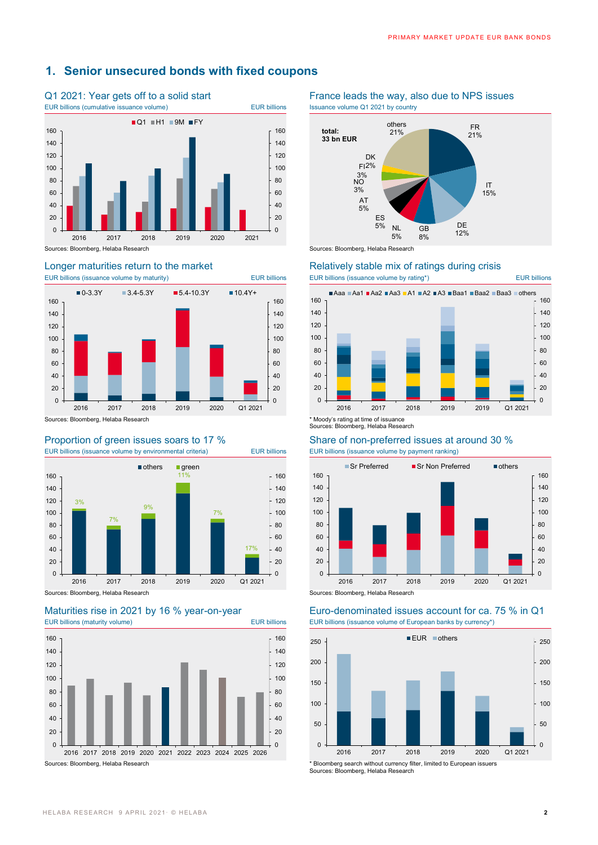## **1. Senior unsecured bonds with fixed coupons**







EUR billions (maturity volume) EUR billions EUR billions (issuance volume of European banks by currency\*)



## Q1 2021: Year gets off to a solid start France leads the way, also due to NPS issues





# Longer maturities return to the market Relatively stable mix of ratings during crisis<br>EUR billions (issuance volume by maturity) EUR billions EUR billions EUR billions (issuance volume by rating\*)



### Proportion of green issues soars to 17 % Share of non-preferred issues at around 30 % EUR billions (issuance volume by environmental criteria) EUR billions EUR billions (issuance volume by payment ranking)



# Maturities rise in 2021 by 16 % year-on-year Euro-denominated issues account for ca. 75 % in Q1



Sources: Bloomberg, Helaba Research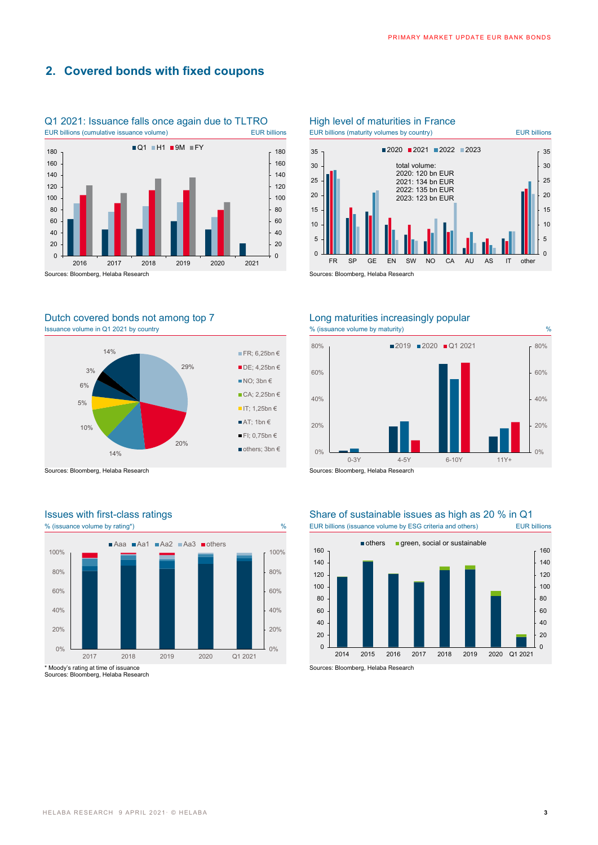## **2. Covered bonds with fixed coupons**



Q1 2021: Issuance falls once again due to TLTRO High level of maturities in France

### Dutch covered bonds not among top 7 Long maturities increasingly popular Issuance volume in Q1 2021 by country Maturity and the state of the state of the state volume by maturity) when  $\%$  (issuance volume by maturity)



Sources: Bloomberg, Helaba Research Sources: Bloomberg, Helaba Research

# 80% 100% ■Aaa ■Aa1 ■Aa2 ■Aa3 ■others



Sources: Bloomberg, Helaba Research





100%

### Issues with first-class ratings<br>
% (issuance volume by rating<sup>\*</sup>) We uncontrolled a Share of sustainable issues as high as 20 % in Q1<br>
Share of sustainable issues as high as 20 % in Q1 % EUR billions (issuance volume by ESG criteria and others)



Sources: Bloomberg, Helaba Research